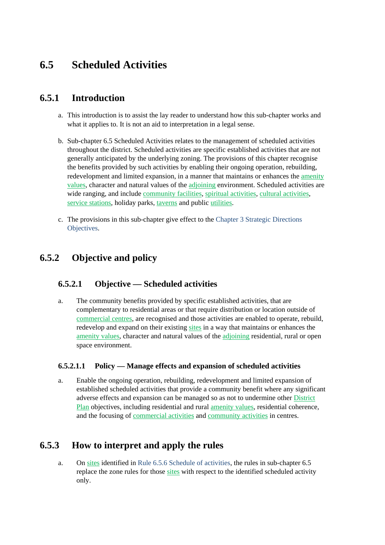# **6.5 Scheduled Activities**

## **6.5.1 Introduction**

- a. This introduction is to assist the lay reader to understand how this sub-chapter works and what it applies to. It is not an aid to interpretation in a legal sense.
- b. Sub-chapter 6.5 Scheduled Activities relates to the management of scheduled activities throughout the district. Scheduled activities are specific established activities that are not generally anticipated by the underlying zoning. The provisions of this chapter recognise the benefits provided by such activities by enabling their ongoing operation, rebuilding, redevelopment and limited expansion, in a manner that maintains or enhances the amenity values, character and natural values of the adjoining environment. Scheduled activities are wide ranging, and include community facilities, spiritual activities, cultural activities, service stations, holiday parks, taverns and public utilities.
- c. The provisions in this sub-chapter give effect to the Chapter 3 Strategic Directions Objectives.

## **6.5.2 Objective and policy**

## **6.5.2.1 Objective — Scheduled activities**

a. The community benefits provided by specific established activities, that are complementary to residential areas or that require distribution or location outside of commercial centres, are recognised and those activities are enabled to operate, rebuild, redevelop and expand on their existing sites in a way that maintains or enhances the amenity values, character and natural values of the adjoining residential, rural or open space environment.

#### **6.5.2.1.1 Policy — Manage effects and expansion of scheduled activities**

a. Enable the ongoing operation, rebuilding, redevelopment and limited expansion of established scheduled activities that provide a community benefit where any significant adverse effects and expansion can be managed so as not to undermine other District Plan objectives, including residential and rural amenity values, residential coherence, and the focusing of commercial activities and community activities in centres.

## **6.5.3 How to interpret and apply the rules**

a. On sites identified in Rule 6.5.6 Schedule of activities, the rules in sub-chapter 6.5 replace the zone rules for those sites with respect to the identified scheduled activity only.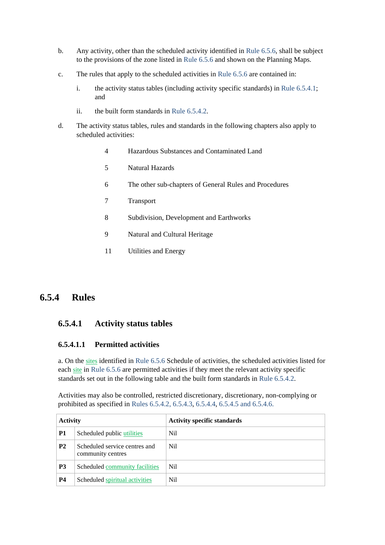- b. Any activity, other than the scheduled activity identified in Rule 6.5.6, shall be subject to the provisions of the zone listed in Rule 6.5.6 and shown on the Planning Maps.
- c. The rules that apply to the scheduled activities in Rule 6.5.6 are contained in:
	- i. the activity status tables (including activity specific standards) in Rule 6.5.4.1; and
	- ii. the built form standards in Rule 6.5.4.2.
- d. The activity status tables, rules and standards in the following chapters also apply to scheduled activities:
	- 4 Hazardous Substances and Contaminated Land
	- 5 Natural Hazards
	- 6 The other sub-chapters of General Rules and Procedures
	- 7 Transport
	- 8 Subdivision, Development and Earthworks
	- 9 Natural and Cultural Heritage
	- 11 Utilities and Energy

## **6.5.4 Rules**

#### **6.5.4.1 Activity status tables**

#### **6.5.4.1.1 Permitted activities**

a. On the sites identified in Rule 6.5.6 Schedule of activities, the scheduled activities listed for each site in Rule 6.5.6 are permitted activities if they meet the relevant activity specific standards set out in the following table and the built form standards in Rule 6.5.4.2.

Activities may also be controlled, restricted discretionary, discretionary, non-complying or prohibited as specified in Rules 6.5.4.2, 6.5.4.3, 6.5.4.4, 6.5.4.5 and 6.5.4.6.

| <b>Activity</b> |                                                    | <b>Activity specific standards</b> |
|-----------------|----------------------------------------------------|------------------------------------|
| <b>P1</b>       | Scheduled public utilities                         | Nil                                |
| <b>P2</b>       | Scheduled service centres and<br>community centres | <b>Nil</b>                         |
| <b>P3</b>       | Scheduled community facilities                     | <b>Nil</b>                         |
| <b>P4</b>       | Scheduled spiritual activities                     | <b>Nil</b>                         |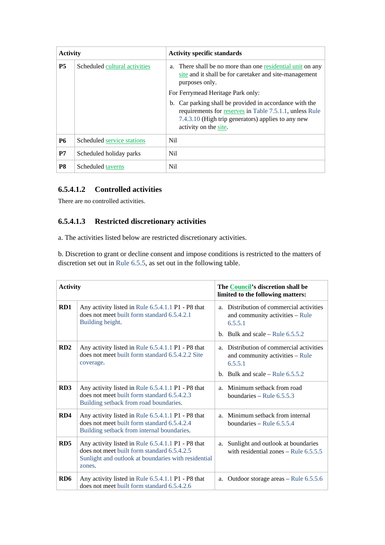| <b>Activity</b> |                               | <b>Activity specific standards</b>                                                                                                                                                                |  |
|-----------------|-------------------------------|---------------------------------------------------------------------------------------------------------------------------------------------------------------------------------------------------|--|
| <b>P5</b>       | Scheduled cultural activities | a. There shall be no more than one residential unit on any<br>site and it shall be for caretaker and site-management<br>purposes only.                                                            |  |
|                 |                               | For Ferrymead Heritage Park only:                                                                                                                                                                 |  |
|                 |                               | b. Car parking shall be provided in accordance with the<br>requirements for reserves in Table 7.5.1.1, unless Rule<br>7.4.3.10 (High trip generators) applies to any new<br>activity on the site. |  |
| <b>P6</b>       | Scheduled service stations    | Nil.                                                                                                                                                                                              |  |
| P7              | Scheduled holiday parks       | <b>Nil</b>                                                                                                                                                                                        |  |
| P8              | Scheduled taverns             | Nil                                                                                                                                                                                               |  |

#### **6.5.4.1.2 Controlled activities**

There are no controlled activities.

## **6.5.4.1.3 Restricted discretionary activities**

a. The activities listed below are restricted discretionary activities.

b. Discretion to grant or decline consent and impose conditions is restricted to the matters of discretion set out in Rule 6.5.5, as set out in the following table.

| <b>Activity</b> |                                                                                                                                                                    |    | The <b>Council's</b> discretion shall be<br>limited to the following matters:          |
|-----------------|--------------------------------------------------------------------------------------------------------------------------------------------------------------------|----|----------------------------------------------------------------------------------------|
| RD1             | Any activity listed in Rule 6.5.4.1.1 P1 - P8 that<br>does not meet built form standard 6.5.4.2.1<br>Building height.                                              |    | a. Distribution of commercial activities<br>and community activities – Rule<br>6.5.5.1 |
|                 |                                                                                                                                                                    |    | b. Bulk and scale – Rule $6.5.5.2$                                                     |
| RD2             | Any activity listed in Rule 6.5.4.1.1 P1 - P8 that<br>does not meet built form standard 6.5.4.2.2 Site<br>coverage.                                                |    | a. Distribution of commercial activities<br>and community activities – Rule<br>6.5.5.1 |
|                 |                                                                                                                                                                    |    | b. Bulk and scale – Rule $6.5.5.2$                                                     |
| RD3             | Any activity listed in Rule 6.5.4.1.1 P1 - P8 that<br>does not meet built form standard 6.5.4.2.3<br>Building setback from road boundaries.                        |    | a. Minimum setback from road<br>boundaries – Rule $6.5.5.3$                            |
| RD4             | Any activity listed in Rule 6.5.4.1.1 P1 - P8 that<br>does not meet built form standard 6.5.4.2.4<br>Building setback from internal boundaries.                    |    | a. Minimum setback from internal<br>boundaries – Rule $6.5.5.4$                        |
| RD <sub>5</sub> | Any activity listed in Rule 6.5.4.1.1 P1 - P8 that<br>does not meet built form standard 6.5.4.2.5<br>Sunlight and outlook at boundaries with residential<br>zones. | a. | Sunlight and outlook at boundaries<br>with residential zones – Rule $6.5.5.5$          |
| RD <sub>6</sub> | Any activity listed in Rule 6.5.4.1.1 P1 - P8 that<br>does not meet built form standard 6.5.4.2.6                                                                  | a. | Outdoor storage areas – Rule 6.5.5.6                                                   |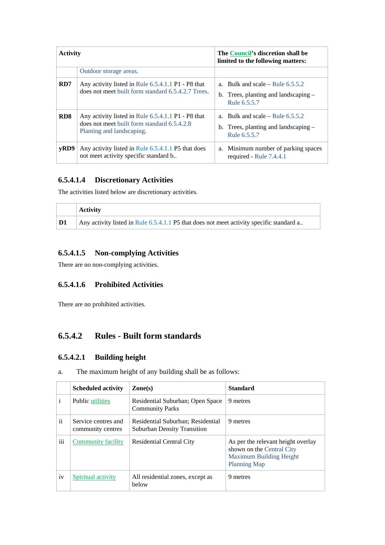| <b>Activity</b> |                                                                                                                                | The Council's discretion shall be<br>limited to the following matters:                     |  |
|-----------------|--------------------------------------------------------------------------------------------------------------------------------|--------------------------------------------------------------------------------------------|--|
|                 | Outdoor storage areas.                                                                                                         |                                                                                            |  |
| RD7             | Any activity listed in Rule 6.5.4.1.1 P1 - P8 that<br>does not meet built form standard 6.5.4.2.7 Trees.                       | a. Bulk and scale – Rule $6.5.5.2$<br>b. Trees, planting and landscaping –<br>Rule 6.5.5.7 |  |
| RD <sub>8</sub> | Any activity listed in Rule 6.5.4.1.1 P1 - P8 that<br>does not meet built form standard 6.5.4.2.8<br>Planting and landscaping. | a. Bulk and scale – Rule $6.5.5.2$<br>b. Trees, planting and landscaping –<br>Rule 6.5.5.7 |  |
| vRD9            | Any activity listed in Rule 6.5.4.1.1 P5 that does<br>not meet activity specific standard b                                    | a. Minimum number of parking spaces<br>required - Rule 7.4.4.1                             |  |

#### **6.5.4.1.4 Discretionary Activities**

The activities listed below are discretionary activities.

|    | <b>Activity</b>                                                                          |
|----|------------------------------------------------------------------------------------------|
| D1 | Any activity listed in Rule 6.5.4.1.1 P5 that does not meet activity specific standard a |

### **6.5.4.1.5 Non-complying Activities**

There are no non-complying activities.

#### **6.5.4.1.6 Prohibited Activities**

There are no prohibited activities.

## **6.5.4.2 Rules - Built form standards**

#### **6.5.4.2.1 Building height**

| a. | The maximum height of any building shall be as follows: |  |  |  |
|----|---------------------------------------------------------|--|--|--|
|    |                                                         |  |  |  |

|               | <b>Scheduled activity</b>                | $\mathbf{Zone}(s)$                                                      | <b>Standard</b>                                                                                                          |
|---------------|------------------------------------------|-------------------------------------------------------------------------|--------------------------------------------------------------------------------------------------------------------------|
| i             | <b>Public utilities</b>                  | Residential Suburban; Open Space<br><b>Community Parks</b>              | 9 metres                                                                                                                 |
| $\mathbf{ii}$ | Service centres and<br>community centres | Residential Suburban; Residential<br><b>Suburban Density Transition</b> | 9 metres                                                                                                                 |
| iii           | <b>Community facility</b>                | Residential Central City                                                | As per the relevant height overlay<br>shown on the Central City<br><b>Maximum Building Height</b><br><b>Planning Map</b> |
| iv            | Spiritual activity                       | All residential zones, except as<br>helow                               | 9 metres                                                                                                                 |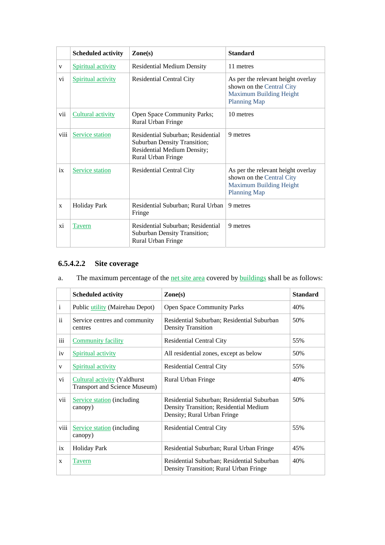|      | <b>Scheduled activity</b> | $\mathbf{Zone}(\mathbf{s})$                                                                                            | <b>Standard</b>                                                                                                          |
|------|---------------------------|------------------------------------------------------------------------------------------------------------------------|--------------------------------------------------------------------------------------------------------------------------|
| V    | <b>Spiritual activity</b> | <b>Residential Medium Density</b>                                                                                      | 11 metres                                                                                                                |
| vi   | Spiritual activity        | <b>Residential Central City</b>                                                                                        | As per the relevant height overlay<br>shown on the Central City<br><b>Maximum Building Height</b><br><b>Planning Map</b> |
| vii  | Cultural activity         | <b>Open Space Community Parks;</b><br>Rural Urban Fringe                                                               | 10 metres                                                                                                                |
| viii | Service station           | Residential Suburban; Residential<br>Suburban Density Transition;<br>Residential Medium Density;<br>Rural Urban Fringe | 9 metres                                                                                                                 |
| ix   | Service station           | <b>Residential Central City</b>                                                                                        | As per the relevant height overlay<br>shown on the Central City<br>Maximum Building Height<br><b>Planning Map</b>        |
| X    | <b>Holiday Park</b>       | Residential Suburban; Rural Urban<br>Fringe                                                                            | 9 metres                                                                                                                 |
| xi   | Tavern                    | Residential Suburban; Residential<br>Suburban Density Transition;<br>Rural Urban Fringe                                | 9 metres                                                                                                                 |

## **6.5.4.2.2 Site coverage**

| a. | The maximum percentage of the <u>net site area</u> covered by <b>buildings</b> shall be as follows: |  |  |
|----|-----------------------------------------------------------------------------------------------------|--|--|
|    |                                                                                                     |  |  |

|               | <b>Scheduled activity</b>                                                   | $\mathbf{Zone}(\mathbf{s})$                                                                                         | <b>Standard</b> |
|---------------|-----------------------------------------------------------------------------|---------------------------------------------------------------------------------------------------------------------|-----------------|
| $\mathbf{i}$  | Public utility (Mairehau Depot)                                             | <b>Open Space Community Parks</b>                                                                                   | 40%             |
| $\mathbf{ii}$ | Service centres and community<br>centres                                    | Residential Suburban; Residential Suburban<br><b>Density Transition</b>                                             | 50%             |
| iii           | <b>Community facility</b>                                                   | <b>Residential Central City</b>                                                                                     | 55%             |
| iv            | Spiritual activity                                                          | All residential zones, except as below                                                                              | 50%             |
| $\mathbf{V}$  | Spiritual activity                                                          | <b>Residential Central City</b>                                                                                     | 55%             |
| vi            | <b>Cultural activity (Yaldhurst</b><br><b>Transport and Science Museum)</b> | Rural Urban Fringe                                                                                                  | 40%             |
| vii           | <b>Service station</b> (including<br>canopy)                                | Residential Suburban; Residential Suburban<br>Density Transition; Residential Medium<br>Density; Rural Urban Fringe | 50%             |
| viii          | <b>Service station</b> (including<br>canopy)                                | <b>Residential Central City</b>                                                                                     | 55%             |
| ix            | <b>Holiday Park</b>                                                         | Residential Suburban; Rural Urban Fringe                                                                            | 45%             |
| X             | <b>Tavern</b>                                                               | Residential Suburban; Residential Suburban<br>Density Transition; Rural Urban Fringe                                | 40%             |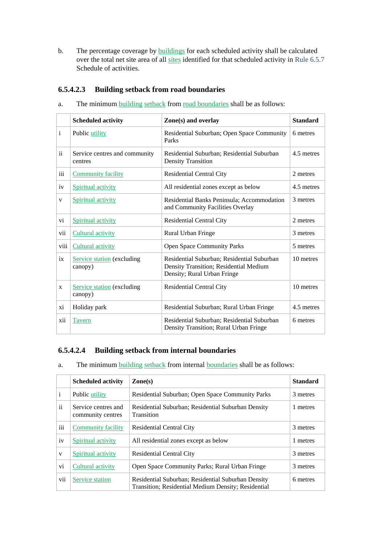b. The percentage coverage by buildings for each scheduled activity shall be calculated over the total net site area of all sites identified for that scheduled activity in Rule 6.5.7 Schedule of activities.

#### **6.5.4.2.3 Building setback from road boundaries**

- **Scheduled activity Standard 2018 Zone(s) and overlay Standard Standard** i Public utility Residential Suburban; Open Space Community Parks 6 metres ii Service centres and community centres Residential Suburban; Residential Suburban Density Transition 4.5 metres iii Community facility Residential Central City 2 metres iv Spiritual activity All residential zones except as below 4.5 metres v Spiritual activity Residential Banks Peninsula; Accommodation and Community Facilities Overlay 3 metres vi Spiritual activity Residential Central City 2 metres vii Cultural activity **Rural Urban Fringe** 3 metres viii Cultural activity **Open Space Community Parks** 5 metres ix Service station (excluding canopy) Residential Suburban; Residential Suburban Density Transition; Residential Medium Density; Rural Urban Fringe 10 metres  $x$  Service station (excluding canopy) Residential Central City 10 metres xi | Holiday park | Residential Suburban; Rural Urban Fringe | 4.5 metres xii Tavern Residential Suburban; Residential Suburban Density Transition; Rural Urban Fringe 6 metres
- a. The minimum building setback from road boundaries shall be as follows:

#### **6.5.4.2.4 Building setback from internal boundaries**

#### a. The minimum building setback from internal boundaries shall be as follows:

|               | <b>Scheduled activity</b>                | $\mathbf{Zone}(\mathbf{s})$                                                                               | <b>Standard</b> |
|---------------|------------------------------------------|-----------------------------------------------------------------------------------------------------------|-----------------|
| $\mathbf{i}$  | Public utility                           | Residential Suburban; Open Space Community Parks                                                          | 3 metres        |
| $\mathbf{ii}$ | Service centres and<br>community centres | Residential Suburban; Residential Suburban Density<br>Transition                                          | 1 metres        |
| iii           | <b>Community facility</b>                | <b>Residential Central City</b>                                                                           | 3 metres        |
| iv            | Spiritual activity                       | All residential zones except as below                                                                     | 1 metres        |
| V             | Spiritual activity                       | <b>Residential Central City</b>                                                                           | 3 metres        |
| vi            | Cultural activity                        | Open Space Community Parks; Rural Urban Fringe                                                            | 3 metres        |
| vii           | Service station                          | Residential Suburban; Residential Suburban Density<br>Transition; Residential Medium Density; Residential | 6 metres        |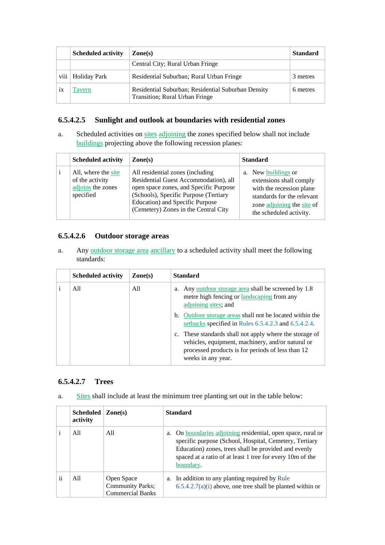|      | <b>Scheduled activity</b> | $\mathbf{Zone}(s)$                                                                   | <b>Standard</b> |
|------|---------------------------|--------------------------------------------------------------------------------------|-----------------|
|      |                           | Central City; Rural Urban Fringe                                                     |                 |
| viii | Holiday Park              | Residential Suburban; Rural Urban Fringe                                             | 3 metres        |
| 1X   | l'avern                   | Residential Suburban; Residential Suburban Density<br>Transition; Rural Urban Fringe | 6 metres        |

#### **6.5.4.2.5 Sunlight and outlook at boundaries with residential zones**

a. Scheduled activities on sites adjoining the zones specified below shall not include buildings projecting above the following recession planes:

| <b>Scheduled activity</b>                                                | $\mathbf{Zone}(s)$                                                                                                                                                                                                                       | <b>Standard</b>                                                                                                                                                   |
|--------------------------------------------------------------------------|------------------------------------------------------------------------------------------------------------------------------------------------------------------------------------------------------------------------------------------|-------------------------------------------------------------------------------------------------------------------------------------------------------------------|
| All, where the site<br>of the activity<br>adjoins the zones<br>specified | All residential zones (including)<br>Residential Guest Accommodation), all<br>open space zones, and Specific Purpose<br>(Schools), Specific Purpose (Tertiary<br>Education) and Specific Purpose<br>(Cemetery) Zones in the Central City | a. New buildings or<br>extensions shall comply<br>with the recession plane<br>standards for the relevant<br>zone adjoining the site of<br>the scheduled activity. |

#### **6.5.4.2.6 Outdoor storage areas**

a. Any outdoor storage area ancillary to a scheduled activity shall meet the following standards:

| <b>Scheduled activity</b> | $\mathbf{Zone}(\mathbf{s})$ | <b>Standard</b>                                                                                                                                                                         |
|---------------------------|-----------------------------|-----------------------------------------------------------------------------------------------------------------------------------------------------------------------------------------|
| All                       | All                         | a. Any <u>outdoor storage area</u> shall be screened by 1.8<br>metre high fencing or landscaping from any<br>adjoining sites; and                                                       |
|                           |                             | b. Outdoor storage areas shall not be located within the<br>setbacks specified in Rules 6.5.4.2.3 and 6.5.4.2.4.                                                                        |
|                           |                             | c. These standards shall not apply where the storage of<br>vehicles, equipment, machinery, and/or natural or<br>processed products is for periods of less than 12<br>weeks in any year. |

#### **6.5.4.2.7 Trees**

a. Sites shall include at least the minimum tree planting set out in the table below:

|    | <b>Scheduled</b><br>activity | $\mathbf{Zone}(s)$                                               | <b>Standard</b>                                                                                                                                                                                                                                                    |
|----|------------------------------|------------------------------------------------------------------|--------------------------------------------------------------------------------------------------------------------------------------------------------------------------------------------------------------------------------------------------------------------|
|    | All                          | A11                                                              | On <u>boundaries</u> adjoining residential, open space, rural or<br>a.<br>specific purpose (School, Hospital, Cemetery, Tertiary<br>Education) zones, trees shall be provided and evenly<br>spaced at a ratio of at least 1 tree for every 10m of the<br>boundary. |
| ii | All                          | Open Space<br><b>Community Parks;</b><br><b>Commercial Banks</b> | a. In addition to any planting required by Rule<br>$6.5.4.2.7(a)(i)$ above, one tree shall be planted within or                                                                                                                                                    |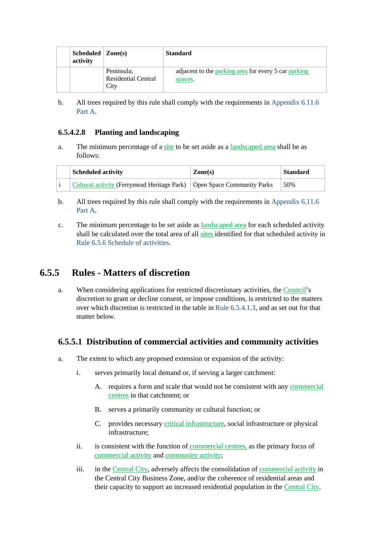| Scheduled $Zone(s)$<br>activity |                                                  | <b>Standard</b>                                                 |
|---------------------------------|--------------------------------------------------|-----------------------------------------------------------------|
|                                 | Peninsula;<br><b>Residential Central</b><br>City | adjacent to the parking area for every 5 car parking<br>spaces. |

b. All trees required by this rule shall comply with the requirements in Appendix 6.11.6 Part A.

#### **6.5.4.2.8 Planting and landscaping**

a. The minimum percentage of a site to be set aside as a landscaped area shall be as follows:

| <b>Scheduled activity</b>                                                | Zone(s) | <b>Standard</b> |
|--------------------------------------------------------------------------|---------|-----------------|
| Cultural activity (Ferrymead Heritage Park)   Open Space Community Parks |         | 50%             |

- b. All trees required by this rule shall comply with the requirements in Appendix 6.11.6 Part A.
- c. The minimum percentage to be set aside as landscaped area for each scheduled activity shall be calculated over the total area of all sites identified for that scheduled activity in Rule 6.5.6 Schedule of activities.

## **6.5.5 Rules - Matters of discretion**

a. When considering applications for restricted discretionary activities, the Council's discretion to grant or decline consent, or impose conditions, is restricted to the matters over which discretion is restricted in the table in Rule 6.5.4.1.3, and as set out for that matter below.

#### **6.5.5.1 Distribution of commercial activities and community activities**

- a. The extent to which any proposed extension or expansion of the activity:
	- i. serves primarily local demand or, if serving a larger catchment:
		- A. requires a form and scale that would not be consistent with any commercial centres in that catchment; or
		- B. serves a primarily community or cultural function; or
		- C. provides necessary critical infrastructure, social infrastructure or physical infrastructure;
	- ii. is consistent with the function of <u>commercial centres</u>, as the primary focus of commercial activity and community activity;
	- iii. in the Central City, adversely affects the consolidation of commercial activity in the Central City Business Zone, and/or the coherence of residential areas and their capacity to support an increased residential population in the Central City.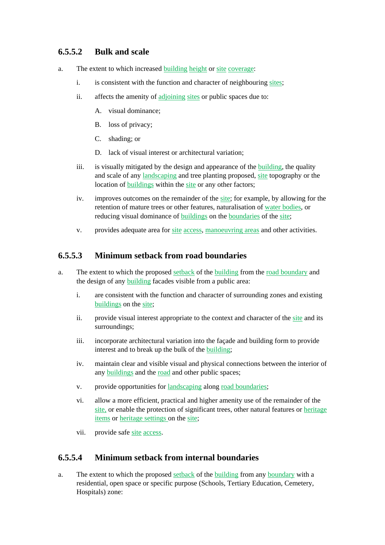## **6.5.5.2 Bulk and scale**

- a. The extent to which increased building height or site coverage:
	- i. is consistent with the function and character of neighbouring sites;
	- ii. affects the amenity of adjoining sites or public spaces due to:
		- A. visual dominance;
		- B. loss of privacy;
		- C. shading; or
		- D. lack of visual interest or architectural variation:
	- iii. is visually mitigated by the design and appearance of the building, the quality and scale of any landscaping and tree planting proposed, site topography or the location of buildings within the site or any other factors;
	- iv. improves outcomes on the remainder of the site; for example, by allowing for the retention of mature trees or other features, naturalisation of water bodies, or reducing visual dominance of buildings on the boundaries of the site;
	- v. provides adequate area for site access, manoeuvring areas and other activities.

## **6.5.5.3 Minimum setback from road boundaries**

- a. The extent to which the proposed setback of the building from the road boundary and the design of any building facades visible from a public area:
	- i. are consistent with the function and character of surrounding zones and existing buildings on the site;
	- ii. provide visual interest appropriate to the context and character of the site and its surroundings;
	- iii. incorporate architectural variation into the façade and building form to provide interest and to break up the bulk of the building;
	- iv. maintain clear and visible visual and physical connections between the interior of any buildings and the road and other public spaces;
	- v. provide opportunities for landscaping along road boundaries;
	- vi. allow a more efficient, practical and higher amenity use of the remainder of the site, or enable the protection of significant trees, other natural features or heritage items or heritage settings on the site;
	- vii. provide safe site access.

## **6.5.5.4 Minimum setback from internal boundaries**

a. The extent to which the proposed setback of the building from any boundary with a residential, open space or specific purpose (Schools, Tertiary Education, Cemetery, Hospitals) zone: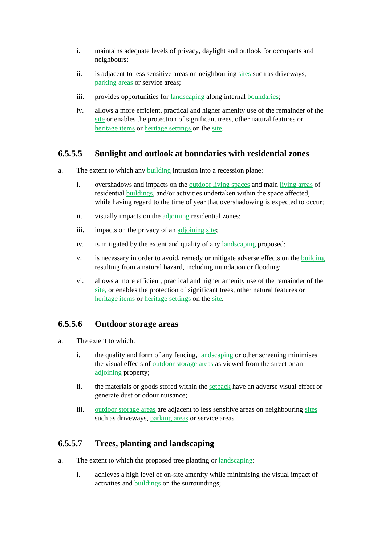- i. maintains adequate levels of privacy, daylight and outlook for occupants and neighbours;
- ii. is adjacent to less sensitive areas on neighbouring sites such as driveways, parking areas or service areas;
- iii. provides opportunities for landscaping along internal boundaries;
- iv. allows a more efficient, practical and higher amenity use of the remainder of the site or enables the protection of significant trees, other natural features or heritage items or heritage settings on the site.

## **6.5.5.5 Sunlight and outlook at boundaries with residential zones**

- a. The extent to which any building intrusion into a recession plane:
	- i. overshadows and impacts on the outdoor living spaces and main living areas of residential buildings, and/or activities undertaken within the space affected, while having regard to the time of year that overshadowing is expected to occur;
	- ii. visually impacts on the adjoining residential zones;
	- iii. impacts on the privacy of an adjoining site;
	- iv. is mitigated by the extent and quality of any landscaping proposed;
	- v. is necessary in order to avoid, remedy or mitigate adverse effects on the building resulting from a natural hazard, including inundation or flooding;
	- vi. allows a more efficient, practical and higher amenity use of the remainder of the site, or enables the protection of significant trees, other natural features or heritage items or heritage settings on the site.

## **6.5.5.6 Outdoor storage areas**

- a. The extent to which:
	- i. the quality and form of any fencing, landscaping or other screening minimises the visual effects of outdoor storage areas as viewed from the street or an adjoining property:
	- ii. the materials or goods stored within the setback have an adverse visual effect or generate dust or odour nuisance;
	- iii. outdoor storage areas are adjacent to less sensitive areas on neighbouring sites such as driveways, parking areas or service areas

## **6.5.5.7 Trees, planting and landscaping**

- a. The extent to which the proposed tree planting or landscaping:
	- i. achieves a high level of on-site amenity while minimising the visual impact of activities and buildings on the surroundings;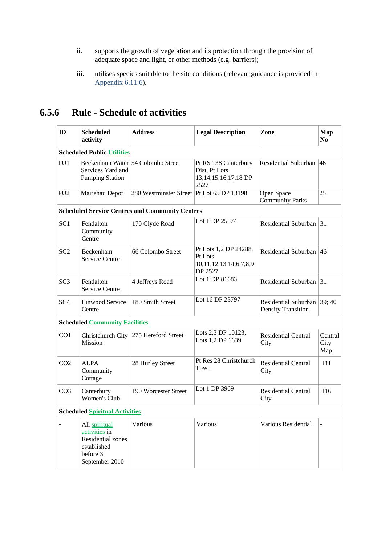- ii. supports the growth of vegetation and its protection through the provision of adequate space and light, or other methods (e.g. barriers);
- iii. utilises species suitable to the site conditions (relevant guidance is provided in Appendix 6.11.6).

# **6.5.6 Rule - Schedule of activities**

| ID              | <b>Scheduled</b><br>activity                                                                     | <b>Address</b>                                         | <b>Legal Description</b>                                                   | Zone                                              | <b>Map</b><br>N <sub>0</sub> |  |  |  |
|-----------------|--------------------------------------------------------------------------------------------------|--------------------------------------------------------|----------------------------------------------------------------------------|---------------------------------------------------|------------------------------|--|--|--|
|                 | <b>Scheduled Public Utilities</b>                                                                |                                                        |                                                                            |                                                   |                              |  |  |  |
| PU1             | Services Yard and<br><b>Pumping Station</b>                                                      | Beckenham Water 54 Colombo Street                      | Pt RS 138 Canterbury<br>Dist, Pt Lots<br>13, 14, 15, 16, 17, 18 DP<br>2527 | Residential Suburban 46                           |                              |  |  |  |
| PU <sub>2</sub> | Mairehau Depot                                                                                   | 280 Westminster Street Pt Lot 65 DP 13198              |                                                                            | Open Space<br><b>Community Parks</b>              | 25                           |  |  |  |
|                 |                                                                                                  | <b>Scheduled Service Centres and Community Centres</b> |                                                                            |                                                   |                              |  |  |  |
| SC <sub>1</sub> | Fendalton<br>Community<br>Centre                                                                 | 170 Clyde Road                                         | Lot 1 DP 25574                                                             | Residential Suburban                              | $\vert$ 31                   |  |  |  |
| SC <sub>2</sub> | Beckenham<br><b>Service Centre</b>                                                               | 66 Colombo Street                                      | Pt Lots 1,2 DP 24288,<br>Pt Lots<br>10,11,12,13,14,6,7,8,9<br>DP 2527      | Residential Suburban 46                           |                              |  |  |  |
| SC <sub>3</sub> | Fendalton<br><b>Service Centre</b>                                                               | 4 Jeffreys Road                                        | Lot 1 DP 81683                                                             | Residential Suburban $ 31 $                       |                              |  |  |  |
| SC <sub>4</sub> | Linwood Service<br>Centre                                                                        | 180 Smith Street                                       | Lot 16 DP 23797                                                            | Residential Suburban<br><b>Density Transition</b> | 39;40                        |  |  |  |
|                 | <b>Scheduled Community Facilities</b>                                                            |                                                        |                                                                            |                                                   |                              |  |  |  |
| CO <sub>1</sub> | Mission                                                                                          | Christchurch City 275 Hereford Street                  | Lots 2,3 DP 10123,<br>Lots 1,2 DP 1639                                     | <b>Residential Central</b><br>City                | Central<br>City<br>Map       |  |  |  |
| CO <sub>2</sub> | <b>ALPA</b><br>Community<br>Cottage                                                              | 28 Hurley Street                                       | Pt Res 28 Christchurch<br>Town                                             | <b>Residential Central</b><br>City                | H11                          |  |  |  |
| CO <sub>3</sub> | Canterbury<br>Women's Club                                                                       | 190 Worcester Street                                   | Lot 1 DP 3969                                                              | <b>Residential Central</b><br>City                | H16                          |  |  |  |
|                 | <b>Scheduled Spiritual Activities</b>                                                            |                                                        |                                                                            |                                                   |                              |  |  |  |
|                 | All spiritual<br>activities in<br>Residential zones<br>established<br>before 3<br>September 2010 | Various                                                | Various                                                                    | Various Residential                               |                              |  |  |  |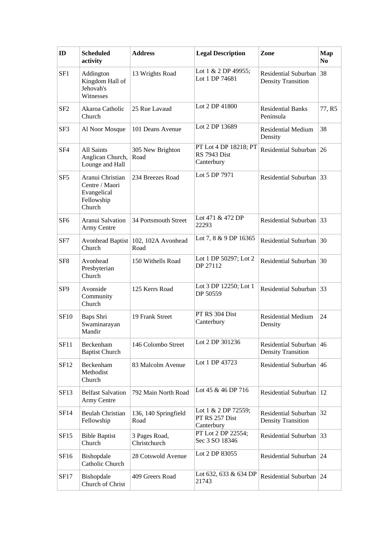| ID              | <b>Scheduled</b><br>activity                                              | <b>Address</b>                                | <b>Legal Description</b>                                   | Zone                                                 | <b>Map</b><br>N <sub>0</sub> |
|-----------------|---------------------------------------------------------------------------|-----------------------------------------------|------------------------------------------------------------|------------------------------------------------------|------------------------------|
| SF <sub>1</sub> | Addington<br>Kingdom Hall of<br>Jehovah's<br>Witnesses                    | 13 Wrights Road                               | Lot 1 & 2 DP 49955;<br>Lot 1 DP 74681                      | Residential Suburban<br><b>Density Transition</b>    | 38                           |
| SF <sub>2</sub> | Akaroa Catholic<br>Church                                                 | 25 Rue Lavaud                                 | Lot 2 DP 41800                                             | <b>Residential Banks</b><br>Peninsula                | 77, R5                       |
| SF3             | Al Noor Mosque                                                            | 101 Deans Avenue                              | Lot 2 DP 13689                                             | <b>Residential Medium</b><br>Density                 | 38                           |
| SF4             | <b>All Saints</b><br>Anglican Church,<br>Lounge and Hall                  | 305 New Brighton<br>Road                      | PT Lot 4 DP 18218; PT<br><b>RS</b> 7943 Dist<br>Canterbury | Residential Suburban                                 | 26                           |
| SF5             | Aranui Christian<br>Centre / Maori<br>Evangelical<br>Fellowship<br>Church | 234 Breezes Road                              | Lot 5 DP 7971                                              | Residential Suburban 33                              |                              |
| SF <sub>6</sub> | Aranui Salvation<br>Army Centre                                           | 34 Portsmouth Street                          | Lot 471 & 472 DP<br>22293                                  | Residential Suburban $ 33$                           |                              |
| SF7             | Church                                                                    | Avonhead Baptist   102, 102A Avonhead<br>Road | Lot 7, 8 & 9 DP 16365                                      | Residential Suburban                                 | 30                           |
| SF <sub>8</sub> | Avonhead<br>Presbyterian<br>Church                                        | 150 Withells Road                             | Lot 1 DP 50297; Lot 2<br>DP 27112                          | Residential Suburban 30                              |                              |
| SF9             | Avonside<br>Community<br>Church                                           | 125 Kerrs Road                                | Lot 3 DP 12250; Lot 1<br>DP 50559                          | Residential Suburban 33                              |                              |
| <b>SF10</b>     | Baps Shri<br>Swaminarayan<br>Mandir                                       | 19 Frank Street                               | PT RS 304 Dist<br>Canterbury                               | <b>Residential Medium</b><br>Density                 | 24                           |
| <b>SF11</b>     | Beckenham<br><b>Baptist Church</b>                                        | 146 Colombo Street                            | Lot 2 DP 301236                                            | Residential Suburban<br><b>Density Transition</b>    | 46                           |
| SF12            | Beckenham<br>Methodist<br>Church                                          | 83 Malcolm Avenue                             | Lot 1 DP 43723                                             | Residential Suburban 46                              |                              |
| SF13            | <b>Belfast Salvation</b><br>Army Centre                                   | 792 Main North Road                           | Lot 45 & 46 DP 716                                         | Residential Suburban   12                            |                              |
| SF14            | <b>Beulah Christian</b><br>Fellowship                                     | 136, 140 Springfield<br>Road                  | Lot 1 & 2 DP 72559;<br>PT RS 257 Dist<br>Canterbury        | Residential Suburban 32<br><b>Density Transition</b> |                              |
| SF15            | <b>Bible Baptist</b><br>Church                                            | 3 Pages Road,<br>Christchurch                 | PT Lot 2 DP 22554;<br>Sec 3 SO 18346                       | Residential Suburban 33                              |                              |
| SF16            | Bishopdale<br>Catholic Church                                             | 28 Cotswold Avenue                            | Lot 2 DP 83055                                             | Residential Suburban   24                            |                              |
| <b>SF17</b>     | Bishopdale<br>Church of Christ                                            | 409 Greers Road                               | Lot 632, 633 & 634 DP<br>21743                             | Residential Suburban   24                            |                              |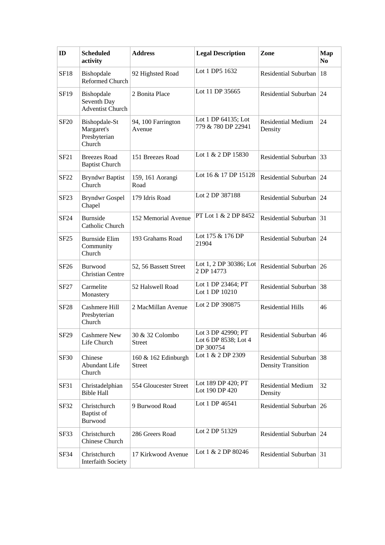| ID               | <b>Scheduled</b><br>activity                          | <b>Address</b>                       | <b>Legal Description</b>                                | Zone                                                 | <b>Map</b><br>N <sub>0</sub> |
|------------------|-------------------------------------------------------|--------------------------------------|---------------------------------------------------------|------------------------------------------------------|------------------------------|
| <b>SF18</b>      | Bishopdale<br>Reformed Church                         | 92 Highsted Road                     | Lot 1 DP5 1632                                          | Residential Suburban                                 | 18                           |
| <b>SF19</b>      | Bishopdale<br>Seventh Day<br><b>Adventist Church</b>  | 2 Bonita Place                       | Lot 11 DP 35665                                         | Residential Suburban 24                              |                              |
| <b>SF20</b>      | Bishopdale-St<br>Margaret's<br>Presbyterian<br>Church | 94, 100 Farrington<br>Avenue         | Lot 1 DP 64135; Lot<br>779 & 780 DP 22941               | <b>Residential Medium</b><br>Density                 | 24                           |
| SF21             | <b>Breezes Road</b><br><b>Baptist Church</b>          | 151 Breezes Road                     | Lot 1 & 2 DP 15830                                      | Residential Suburban 33                              |                              |
| <b>SF22</b>      | <b>Bryndwr Baptist</b><br>Church                      | 159, 161 Aorangi<br>Road             | Lot 16 & 17 DP 15128                                    | Residential Suburban 24                              |                              |
| SF <sub>23</sub> | <b>Bryndwr Gospel</b><br>Chapel                       | 179 Idris Road                       | Lot 2 DP 387188                                         | Residential Suburban 24                              |                              |
| <b>SF24</b>      | <b>Burnside</b><br>Catholic Church                    | 152 Memorial Avenue                  | PT Lot 1 & 2 DP 8452                                    | Residential Suburban                                 | 31                           |
| SF <sub>25</sub> | <b>Burnside Elim</b><br>Community<br>Church           | 193 Grahams Road                     | Lot 175 & 176 DP<br>21904                               | Residential Suburban 24                              |                              |
| SF26             | <b>Burwood</b><br><b>Christian Centre</b>             | 52, 56 Bassett Street                | Lot 1, 2 DP 30386; Lot<br>2 DP 14773                    | Residential Suburban                                 | $\sqrt{26}$                  |
| <b>SF27</b>      | Carmelite<br>Monastery                                | 52 Halswell Road                     | Lot 1 DP 23464; PT<br>Lot 1 DP 10210                    | Residential Suburban                                 | 38                           |
| <b>SF28</b>      | Cashmere Hill<br>Presbyterian<br>Church               | 2 MacMillan Avenue                   | Lot 2 DP 390875                                         | <b>Residential Hills</b>                             | 46                           |
| SF29             | <b>Cashmere New</b><br>Life Church                    | 30 & 32 Colombo<br><b>Street</b>     | Lot 3 DP 42990; PT<br>Lot 6 DP 8538; Lot 4<br>DP 300754 | Residential Suburban   46                            |                              |
| <b>SF30</b>      | Chinese<br>Abundant Life<br>Church                    | 160 & 162 Edinburgh<br><b>Street</b> | Lot 1 & 2 DP 2309                                       | Residential Suburban 38<br><b>Density Transition</b> |                              |
| <b>SF31</b>      | Christadelphian<br><b>Bible Hall</b>                  | 554 Gloucester Street                | Lot 189 DP 420; PT<br>Lot 190 DP 420                    | <b>Residential Medium</b><br>Density                 | 32                           |
| SF32             | Christchurch<br><b>Baptist</b> of<br>Burwood          | 9 Burwood Road                       | Lot 1 DP 46541                                          | Residential Suburban $ 26$                           |                              |
| SF33             | Christchurch<br>Chinese Church                        | 286 Greers Road                      | Lot 2 DP 51329                                          | Residential Suburban 24                              |                              |
| SF34             | Christchurch<br><b>Interfaith Society</b>             | 17 Kirkwood Avenue                   | Lot 1 & 2 DP 80246                                      | Residential Suburban 31                              |                              |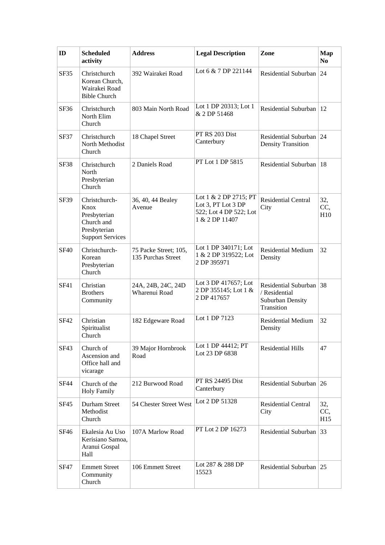| ID          | <b>Scheduled</b><br>activity                                                                   | <b>Address</b>                              | <b>Legal Description</b>                                                                | Zone                                                                       | <b>Map</b><br>N <sub>0</sub> |
|-------------|------------------------------------------------------------------------------------------------|---------------------------------------------|-----------------------------------------------------------------------------------------|----------------------------------------------------------------------------|------------------------------|
| <b>SF35</b> | Christchurch<br>Korean Church,<br>Wairakei Road<br><b>Bible Church</b>                         | 392 Wairakei Road                           | Lot 6 & 7 DP 221144                                                                     | Residential Suburban                                                       | 24                           |
| SF36        | Christchurch<br>North Elim<br>Church                                                           | 803 Main North Road                         | Lot 1 DP 20313; Lot 1<br>& 2 DP 51468                                                   | Residential Suburban                                                       | <sup>12</sup>                |
| SF37        | Christchurch<br>North Methodist<br>Church                                                      | 18 Chapel Street                            | PT RS 203 Dist<br>Canterbury                                                            | Residential Suburban<br><b>Density Transition</b>                          | 24                           |
| SF38        | Christchurch<br>North<br>Presbyterian<br>Church                                                | 2 Daniels Road                              | PT Lot 1 DP 5815                                                                        | Residential Suburban                                                       | $\overline{18}$              |
| SF39        | Christchurch-<br>Knox<br>Presbyterian<br>Church and<br>Presbyterian<br><b>Support Services</b> | 36, 40, 44 Bealey<br>Avenue                 | Lot 1 & 2 DP 2715; PT<br>Lot 3, PT Lot 3 DP<br>522; Lot 4 DP 522; Lot<br>1 & 2 DP 11407 | <b>Residential Central</b><br>City                                         | 32,<br>CC,<br>H10            |
| <b>SF40</b> | Christchurch-<br>Korean<br>Presbyterian<br>Church                                              | 75 Packe Street; 105,<br>135 Purchas Street | Lot 1 DP 340171; Lot<br>1 & 2 DP 319522; Lot<br>2 DP 395971                             | <b>Residential Medium</b><br>Density                                       | 32                           |
| SF41        | Christian<br><b>Brothers</b><br>Community                                                      | 24A, 24B, 24C, 24D<br>Wharenui Road         | Lot 3 DP 417657; Lot<br>2 DP 355145; Lot 1 &<br>2 DP 417657                             | Residential Suburban 38<br>/ Residential<br>Suburban Density<br>Transition |                              |
| SF42        | Christian<br>Spiritualist<br>Church                                                            | 182 Edgeware Road                           | Lot 1 DP 7123                                                                           | <b>Residential Medium</b><br>Density                                       | 32                           |
| SF43        | Church of<br>Ascension and<br>Office hall and<br>vicarage                                      | 39 Major Hornbrook<br>Road                  | Lot 1 DP 44412; PT<br>Lot 23 DP 6838                                                    | <b>Residential Hills</b>                                                   | 47                           |
| <b>SF44</b> | Church of the<br><b>Holy Family</b>                                                            | 212 Burwood Road                            | <b>PT RS 24495 Dist</b><br>Canterbury                                                   | Residential Suburban 26                                                    |                              |
| SF45        | Durham Street<br>Methodist<br>Church                                                           | 54 Chester Street West                      | Lot 2 DP 51328                                                                          | <b>Residential Central</b><br>City                                         | 32,<br>CC,<br>H15            |
| SF46        | Ekalesia Au Uso<br>Kerisiano Samoa,<br>Aranui Gospal<br>Hall                                   | 107A Marlow Road                            | PT Lot 2 DP 16273                                                                       | Residential Suburban                                                       | 33                           |
| SF47        | <b>Emmett Street</b><br>Community<br>Church                                                    | 106 Emmett Street                           | Lot 287 & 288 DP<br>15523                                                               | Residential Suburban 25                                                    |                              |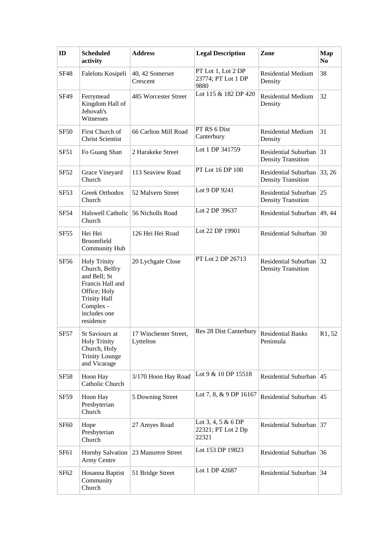| ID               | <b>Scheduled</b><br>activity                                                                                                                               | <b>Address</b>                     | <b>Legal Description</b>                          | Zone                                                 | <b>Map</b><br>N <sub>0</sub>    |
|------------------|------------------------------------------------------------------------------------------------------------------------------------------------------------|------------------------------------|---------------------------------------------------|------------------------------------------------------|---------------------------------|
| <b>SF48</b>      | Falelotu Kosipeli                                                                                                                                          | 40, 42 Somerset<br>Crescent        | PT Lot 1, Lot 2 DP<br>23774; PT Lot 1 DP<br>9880  | <b>Residential Medium</b><br>Density                 | 38                              |
| SF49             | Ferrymead<br>Kingdom Hall of<br>Jehovah's<br>Witnesses                                                                                                     | 485 Worcester Street               | Lot 115 & 182 DP 420                              | <b>Residential Medium</b><br>Density                 | 32                              |
| <b>SF50</b>      | First Church of<br><b>Christ Scientist</b>                                                                                                                 | 66 Carlton Mill Road               | PT RS 6 Dist<br>Canterbury                        | <b>Residential Medium</b><br>Density                 | 31                              |
| SF51             | Fo Guang Shan                                                                                                                                              | 2 Harakeke Street                  | Lot 1 DP 341759                                   | Residential Suburban<br><b>Density Transition</b>    | 31                              |
| <b>SF52</b>      | Grace Vineyard<br>Church                                                                                                                                   | 113 Seaview Road                   | PT Lot 16 DP 100                                  | Residential Suburban<br><b>Density Transition</b>    | 33, 26                          |
| <b>SF53</b>      | Greek Orthodox<br>Church                                                                                                                                   | 52 Malvern Street                  | Lot 9 DP 9241                                     | Residential Suburban<br><b>Density Transition</b>    | 25                              |
| <b>SF54</b>      | Halswell Catholic 56 Nicholls Road<br>Church                                                                                                               |                                    | Lot 2 DP 39637                                    | Residential Suburban                                 | 49, 44                          |
| SF <sub>55</sub> | Hei Hei<br>Broomfield<br>Community Hub                                                                                                                     | 126 Hei Hei Road                   | Lot 22 DP 19901                                   | Residential Suburban                                 | 30                              |
| <b>SF56</b>      | <b>Holy Trinity</b><br>Church, Belfry<br>and Bell; St<br>Francis Hall and<br>Office; Holy<br><b>Trinity Hall</b><br>Complex -<br>includes one<br>residence | 20 Lychgate Close                  | PT Lot 2 DP 26713                                 | Residential Suburban 32<br><b>Density Transition</b> |                                 |
| <b>SF57</b>      | St Saviours at<br><b>Holy Trinity</b><br>Church, Holy<br><b>Trinity Lounge</b><br>and Vicarage                                                             | 17 Winchester Street,<br>Lyttelton | Res 28 Dist Canterbury                            | <b>Residential Banks</b><br>Peninsula                | R <sub>1</sub> , 5 <sub>2</sub> |
| <b>SF58</b>      | Hoon Hay<br>Catholic Church                                                                                                                                | 3/170 Hoon Hay Road                | Lot 9 & 10 DP 15518                               | Residential Suburban                                 | 45                              |
| <b>SF59</b>      | Hoon Hay<br>Presbyterian<br>Church                                                                                                                         | 5 Downing Street                   | Lot 7, 8, & 9 DP 16167                            | Residential Suburban                                 | 45                              |
| SF <sub>60</sub> | Hope<br>Presbyterian<br>Church                                                                                                                             | 27 Amyes Road                      | Lot 3, 4, 5 & 6 DP<br>22321; PT Lot 2 Dp<br>22321 | Residential Suburban 37                              |                                 |
| SF <sub>61</sub> | <b>Hornby Salvation</b><br>Army Centre                                                                                                                     | 23 Manurere Street                 | Lot 153 DP 19823                                  | Residential Suburban                                 | 36                              |
| SF <sub>62</sub> | Hosanna Baptist<br>Community<br>Church                                                                                                                     | 51 Bridge Street                   | Lot 1 DP 42687                                    | Residential Suburban 34                              |                                 |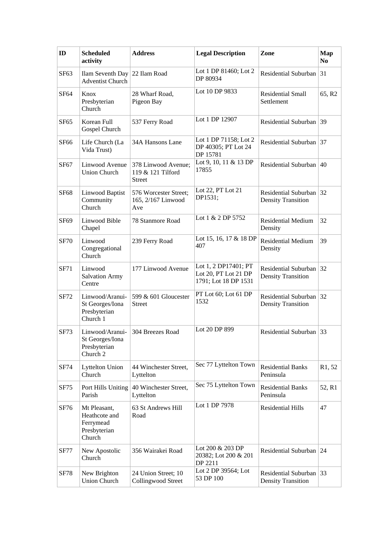| ID               | <b>Scheduled</b><br>activity                                         | <b>Address</b>                                            | <b>Legal Description</b>                                             | Zone                                              | <b>Map</b><br>N <sub>0</sub> |
|------------------|----------------------------------------------------------------------|-----------------------------------------------------------|----------------------------------------------------------------------|---------------------------------------------------|------------------------------|
| SF <sub>63</sub> | Ilam Seventh Day 22 Ilam Road<br><b>Adventist Church</b>             |                                                           | Lot 1 DP 81460; Lot 2<br>DP 80934                                    | Residential Suburban                              | 31                           |
| SF <sub>64</sub> | Knox<br>Presbyterian<br>Church                                       | 28 Wharf Road,<br>Pigeon Bay                              | Lot 10 DP 9833                                                       | <b>Residential Small</b><br>Settlement            | 65, R2                       |
| SF <sub>65</sub> | Korean Full<br>Gospel Church                                         | 537 Ferry Road                                            | Lot 1 DP 12907                                                       | Residential Suburban 39                           |                              |
| SF <sub>66</sub> | Life Church (La<br>Vida Trust)                                       | 34A Hansons Lane                                          | Lot 1 DP 71158; Lot 2<br>DP 40305; PT Lot 24<br>DP 15781             | Residential Suburban                              | 37                           |
| SF <sub>67</sub> | Linwood Avenue<br><b>Union Church</b>                                | 378 Linwood Avenue;<br>119 & 121 Tilford<br><b>Street</b> | Lot 9, 10, 11 & 13 DP<br>17855                                       | Residential Suburban                              | 40                           |
| <b>SF68</b>      | Linwood Baptist<br>Community<br>Church                               | 576 Worcester Street;<br>165, 2/167 Linwood<br>Ave        | Lot 22, PT Lot 21<br>DP1531;                                         | Residential Suburban<br><b>Density Transition</b> | 32                           |
| <b>SF69</b>      | Linwood Bible<br>Chapel                                              | 78 Stanmore Road                                          | Lot 1 & 2 DP 5752                                                    | <b>Residential Medium</b><br>Density              | 32                           |
| <b>SF70</b>      | Linwood<br>Congregational<br>Church                                  | 239 Ferry Road                                            | Lot 15, 16, 17 & 18 DP<br>407                                        | <b>Residential Medium</b><br>Density              | 39                           |
| <b>SF71</b>      | Linwood<br><b>Salvation Army</b><br>Centre                           | 177 Linwood Avenue                                        | Lot 1, 2 DP17401; PT<br>Lot 20, PT Lot 21 DP<br>1791; Lot 18 DP 1531 | Residential Suburban<br><b>Density Transition</b> | 32                           |
| <b>SF72</b>      | Linwood/Aranui-<br>St Georges/Iona<br>Presbyterian<br>Church 1       | 599 & 601 Gloucester<br><b>Street</b>                     | PT Lot 60; Lot 61 DP<br>1532                                         | Residential Suburban<br><b>Density Transition</b> | 32                           |
| <b>SF73</b>      | Linwood/Aranui-<br>St Georges/Iona<br>Presbyterian<br>Church 2       | 304 Breezes Road                                          | Lot 20 DP 899                                                        | Residential Suburban 33                           |                              |
| <b>SF74</b>      | <b>Lyttelton Union</b><br>Church                                     | 44 Winchester Street,<br>Lyttelton                        | Sec 77 Lyttelton Town                                                | <b>Residential Banks</b><br>Peninsula             | R <sub>1</sub> , 52          |
| <b>SF75</b>      | Port Hills Uniting<br>Parish                                         | 40 Winchester Street,<br>Lyttelton                        | Sec 75 Lyttelton Town                                                | <b>Residential Banks</b><br>Peninsula             | 52, R1                       |
| SF76             | Mt Pleasant,<br>Heathcote and<br>Ferrymead<br>Presbyterian<br>Church | 63 St Andrews Hill<br>Road                                | Lot 1 DP 7978                                                        | <b>Residential Hills</b>                          | 47                           |
| <b>SF77</b>      | New Apostolic<br>Church                                              | 356 Wairakei Road                                         | Lot 200 & 203 DP<br>20382; Lot 200 & 201<br>DP 2211                  | Residential Suburban                              | $\sqrt{24}$                  |
| <b>SF78</b>      | New Brighton<br><b>Union Church</b>                                  | 24 Union Street; 10<br>Collingwood Street                 | Lot 2 DP 39564; Lot<br>53 DP 100                                     | Residential Suburban<br><b>Density Transition</b> | 33                           |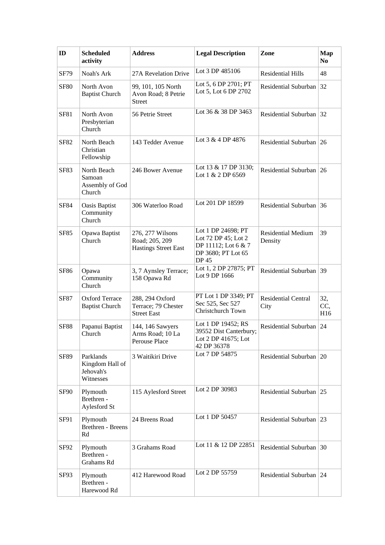| ID          | <b>Scheduled</b><br>activity                           | <b>Address</b>                                                    | <b>Legal Description</b>                                                                        | Zone                                 | <b>Map</b><br>N <sub>0</sub> |
|-------------|--------------------------------------------------------|-------------------------------------------------------------------|-------------------------------------------------------------------------------------------------|--------------------------------------|------------------------------|
| <b>SF79</b> | Noah's Ark                                             | 27A Revelation Drive                                              | Lot 3 DP 485106                                                                                 | <b>Residential Hills</b>             | 48                           |
| <b>SF80</b> | North Avon<br><b>Baptist Church</b>                    | 99, 101, 105 North<br>Avon Road; 8 Petrie<br><b>Street</b>        | Lot 5, 6 DP 2701; PT<br>Lot 5, Lot 6 DP 2702                                                    | Residential Suburban                 | 32                           |
| <b>SF81</b> | North Avon<br>Presbyterian<br>Church                   | 56 Petrie Street                                                  | Lot 36 & 38 DP 3463                                                                             | Residential Suburban 32              |                              |
| <b>SF82</b> | North Beach<br>Christian<br>Fellowship                 | 143 Tedder Avenue                                                 | Lot 3 & 4 DP 4876                                                                               | Residential Suburban                 | 26                           |
| <b>SF83</b> | North Beach<br>Samoan<br>Assembly of God<br>Church     | 246 Bower Avenue                                                  | Lot 13 & 17 DP 3130;<br>Lot 1 & 2 DP 6569                                                       | Residential Suburban 26              |                              |
| <b>SF84</b> | <b>Oasis Baptist</b><br>Community<br>Church            | 306 Waterloo Road                                                 | Lot 201 DP 18599                                                                                | Residential Suburban                 | 36                           |
| <b>SF85</b> | Opawa Baptist<br>Church                                | 276, 277 Wilsons<br>Road; 205, 209<br><b>Hastings Street East</b> | Lot 1 DP 24698; PT<br>Lot 72 DP 45; Lot 2<br>DP 11112; Lot 6 & 7<br>DP 3680; PT Lot 65<br>DP 45 | <b>Residential Medium</b><br>Density | 39                           |
| SF86        | Opawa<br>Community<br>Church                           | 3, 7 Aynsley Terrace;<br>158 Opawa Rd                             | Lot 1, 2 DP 27875; PT<br>Lot 9 DP 1666                                                          | Residential Suburban                 | 39                           |
| <b>SF87</b> | <b>Oxford Terrace</b><br><b>Baptist Church</b>         | 288, 294 Oxford<br>Terrace; 79 Chester<br><b>Street East</b>      | PT Lot 1 DP 3349; PT<br>Sec 525, Sec 527<br>Christchurch Town                                   | Residential Central<br>City          | 32,<br>CC,<br>H16            |
| <b>SF88</b> | Papanui Baptist<br>Church                              | 144, 146 Sawyers<br>Arms Road; 10 La<br>Perouse Place             | Lot 1 DP 19452; RS<br>39552 Dist Canterbury;<br>Lot 2 DP 41675; Lot<br>42 DP 36378              | <b>Residential Suburban</b>          | 24                           |
| <b>SF89</b> | Parklands<br>Kingdom Hall of<br>Jehovah's<br>Witnesses | 3 Waitikiri Drive                                                 | Lot 7 DP 54875                                                                                  | Residential Suburban   20            |                              |
| <b>SF90</b> | Plymouth<br>Brethren -<br>Aylesford St                 | 115 Aylesford Street                                              | Lot 2 DP 30983                                                                                  | Residential Suburban                 | 25                           |
| SF91        | Plymouth<br>Brethren - Breens<br>Rd                    | 24 Breens Road                                                    | Lot 1 DP 50457                                                                                  | Residential Suburban 23              |                              |
| SF92        | Plymouth<br>Brethren -<br>Grahams Rd                   | 3 Grahams Road                                                    | Lot 11 & 12 DP 22851                                                                            | Residential Suburban 30              |                              |
| SF93        | Plymouth<br>Brethren -<br>Harewood Rd                  | 412 Harewood Road                                                 | Lot 2 DP 55759                                                                                  | Residential Suburban 24              |                              |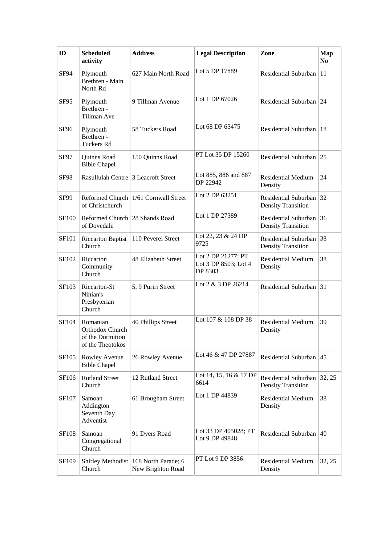| ID               | <b>Scheduled</b><br>activity                                        | <b>Address</b>                                               | <b>Legal Description</b>                              | Zone                                              | <b>Map</b><br>N <sub>0</sub> |
|------------------|---------------------------------------------------------------------|--------------------------------------------------------------|-------------------------------------------------------|---------------------------------------------------|------------------------------|
| SF94             | Plymouth<br>Brethren - Main<br>North Rd                             | 627 Main North Road                                          | Lot 5 DP 17889                                        | Residential Suburban                              | 11                           |
| SF95             | Plymouth<br>Brethren -<br>Tillman Ave                               | 9 Tillman Avenue                                             | Lot 1 DP 67026                                        | Residential Suburban                              | 24                           |
| SF <sub>96</sub> | Plymouth<br>Brethren -<br>Tuckers Rd                                | 58 Tuckers Road                                              | Lot 68 DP 63475                                       | Residential Suburban   18                         |                              |
| SF97             | Quinns Road<br><b>Bible Chapel</b>                                  | 150 Quinns Road                                              | PT Lot 35 DP 15260                                    | Residential Suburban                              | 25                           |
| <b>SF98</b>      | Rasullulah Centre 3 Leacroft Street                                 |                                                              | Lot 885, 886 and 887<br>DP 22942                      | Residential Medium<br>Density                     | 24                           |
| SF99             | of Christchurch                                                     | Reformed Church   1/61 Cornwall Street                       | Lot 2 DP 63251                                        | Residential Suburban<br><b>Density Transition</b> | 32                           |
| <b>SF100</b>     | Reformed Church 28 Shands Road<br>of Dovedale                       |                                                              | Lot 1 DP 27389                                        | Residential Suburban<br><b>Density Transition</b> | 36                           |
| <b>SF101</b>     | <b>Riccarton Baptist</b><br>Church                                  | 110 Peverel Street                                           | Lot 22, 23 & 24 DP<br>9725                            | Residential Suburban<br><b>Density Transition</b> | 38                           |
| SF102            | Riccarton<br>Community<br>Church                                    | 48 Elizabeth Street                                          | Lot 2 DP 21277; PT<br>Lot 3 DP 8503; Lot 4<br>DP 8303 | <b>Residential Medium</b><br>Density              | 38                           |
| SF103            | Riccarton-St<br>Ninian's<br>Presbyterian<br>Church                  | 5, 9 Puriri Street                                           | Lot 2 & 3 DP 26214                                    | Residential Suburban                              | 31                           |
| SF104            | Romanian<br>Orthodox Church<br>of the Dormition<br>of the Theotokos | 40 Phillips Street                                           | Lot 107 & 108 DP 38                                   | <b>Residential Medium</b><br>Density              | 39                           |
| SF105            | Rowley Avenue<br><b>Bible Chapel</b>                                | 26 Rowley Avenue                                             | Lot 46 & 47 DP 27887                                  | Residential Suburban                              | 45                           |
| SF106            | <b>Rutland Street</b><br>Church                                     | 12 Rutland Street                                            | Lot 14, 15, 16 & 17 DP<br>6614                        | Residential Suburban<br><b>Density Transition</b> | 32, 25                       |
| SF107            | Samoan<br>Addington<br>Seventh Day<br>Adventist                     | 61 Brougham Street                                           | Lot 1 DP 44839                                        | <b>Residential Medium</b><br>Density              | 38                           |
| <b>SF108</b>     | Samoan<br>Congregational<br>Church                                  | 91 Dyers Road                                                | Lot 33 DP 405028; PT<br>Lot 9 DP 49848                | Residential Suburban                              | 40                           |
| SF109            | Church                                                              | Shirley Methodist   168 North Parade; 6<br>New Brighton Road | PT Lot 9 DP 3856                                      | <b>Residential Medium</b><br>Density              | 32, 25                       |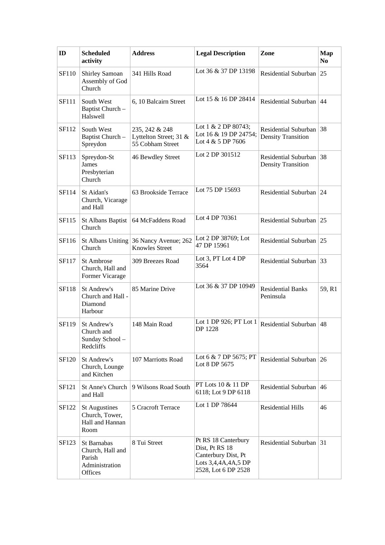| ID           | <b>Scheduled</b><br>activity                                                  | <b>Address</b>                                               | <b>Legal Description</b>                                                                                   | Zone                                                 | <b>Map</b><br>N <sub>0</sub> |
|--------------|-------------------------------------------------------------------------------|--------------------------------------------------------------|------------------------------------------------------------------------------------------------------------|------------------------------------------------------|------------------------------|
| SF110        | Shirley Samoan<br>Assembly of God<br>Church                                   | 341 Hills Road                                               | Lot 36 & 37 DP 13198                                                                                       | Residential Suburban                                 | 25                           |
| <b>SF111</b> | South West<br>Baptist Church -<br>Halswell                                    | 6, 10 Balcairn Street                                        | Lot 15 & 16 DP 28414                                                                                       | Residential Suburban                                 | 44                           |
| SF112        | South West<br>Baptist Church-<br>Spreydon                                     | 235, 242 & 248<br>Lyttelton Street; 31 &<br>55 Cobham Street | Lot 1 & 2 DP 80743;<br>Lot 16 & 19 DP 24754;<br>Lot 4 $&$ 5 DP 7606                                        | Residential Suburban 38<br><b>Density Transition</b> |                              |
| SF113        | Spreydon-St<br>James<br>Presbyterian<br>Church                                | 46 Bewdley Street                                            | Lot 2 DP 301512                                                                                            | Residential Suburban<br><b>Density Transition</b>    | 38                           |
| SF114        | St Aidan's<br>Church, Vicarage<br>and Hall                                    | 63 Brookside Terrace                                         | Lot 75 DP 15693                                                                                            | Residential Suburban 24                              |                              |
| SF115        | St Albans Baptist<br>Church                                                   | 64 McFaddens Road                                            | Lot 4 DP 70361                                                                                             | Residential Suburban 25                              |                              |
| SF116        | <b>St Albans Uniting</b><br>Church                                            | 36 Nancy Avenue; 262<br><b>Knowles Street</b>                | Lot 2 DP 38769; Lot<br>47 DP 15961                                                                         | Residential Suburban                                 | 25                           |
| SF117        | <b>St Ambrose</b><br>Church, Hall and<br>Former Vicarage                      | 309 Breezes Road                                             | Lot 3, PT Lot 4 DP<br>3564                                                                                 | Residential Suburban 33                              |                              |
| <b>SF118</b> | St Andrew's<br>Church and Hall -<br>Diamond<br>Harbour                        | 85 Marine Drive                                              | Lot 36 & 37 DP 10949                                                                                       | <b>Residential Banks</b><br>Peninsula                | 59, R1                       |
| SF119        | St Andrew's<br>Church and<br>Sunday School –<br>Redcliffs                     | 148 Main Road                                                | Lot 1 DP 926; PT Lot 1<br>DP 1228                                                                          | Residential Suburban                                 | 48                           |
| SF120        | St Andrew's<br>Church, Lounge<br>and Kitchen                                  | 107 Marriotts Road                                           | Lot 6 & 7 DP 5675; PT<br>Lot 8 DP 5675                                                                     | Residential Suburban 26                              |                              |
| SF121        | <b>St Anne's Church</b><br>and Hall                                           | 9 Wilsons Road South                                         | PT Lots 10 & 11 DP<br>6118; Lot 9 DP 6118                                                                  | Residential Suburban                                 | 46                           |
| SF122        | <b>St Augustines</b><br>Church, Tower,<br>Hall and Hannan<br>Room             | 5 Cracroft Terrace                                           | Lot 1 DP 78644                                                                                             | <b>Residential Hills</b>                             | 46                           |
| SF123        | <b>St Barnabas</b><br>Church, Hall and<br>Parish<br>Administration<br>Offices | 8 Tui Street                                                 | Pt RS 18 Canterbury<br>Dist, Pt RS 18<br>Canterbury Dist, Pt<br>Lots 3,4,4A,4A,5 DP<br>2528, Lot 6 DP 2528 | Residential Suburban                                 | 31                           |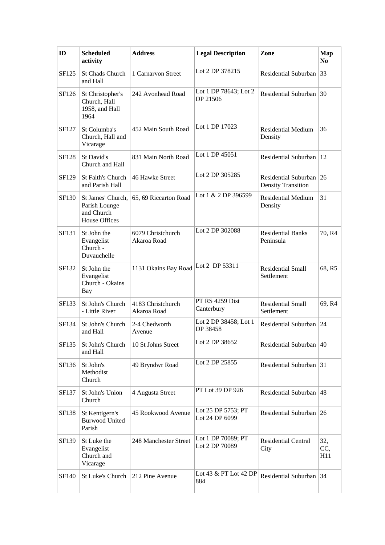| ID           | <b>Scheduled</b><br>activity                                             | <b>Address</b>                   | <b>Legal Description</b>             | Zone                                              | <b>Map</b><br>N <sub>0</sub> |
|--------------|--------------------------------------------------------------------------|----------------------------------|--------------------------------------|---------------------------------------------------|------------------------------|
| SF125        | <b>St Chads Church</b><br>and Hall                                       | 1 Carnarvon Street               | Lot 2 DP 378215                      | Residential Suburban                              | 33                           |
| SF126        | St Christopher's<br>Church, Hall<br>1958, and Hall<br>1964               | 242 Avonhead Road                | Lot 1 DP 78643; Lot 2<br>DP 21506    | Residential Suburban                              | 30                           |
| SF127        | St Columba's<br>Church, Hall and<br>Vicarage                             | 452 Main South Road              | Lot 1 DP 17023                       | <b>Residential Medium</b><br>Density              | 36                           |
| <b>SF128</b> | St David's<br>Church and Hall                                            | 831 Main North Road              | Lot 1 DP 45051                       | <b>Residential Suburban</b>                       | 12                           |
| SF129        | <b>St Faith's Church</b><br>and Parish Hall                              | 46 Hawke Street                  | Lot 2 DP 305285                      | Residential Suburban<br><b>Density Transition</b> | 26                           |
| SF130        | St James' Church,<br>Parish Lounge<br>and Church<br><b>House Offices</b> | 65, 69 Riccarton Road            | Lot 1 & 2 DP 396599                  | <b>Residential Medium</b><br>Density              | 31                           |
| SF131        | St John the<br>Evangelist<br>Church -<br>Duvauchelle                     | 6079 Christchurch<br>Akaroa Road | Lot 2 DP 302088                      | <b>Residential Banks</b><br>Peninsula             | 70, R4                       |
| SF132        | St John the<br>Evangelist<br>Church - Okains<br><b>Bay</b>               | 1131 Okains Bay Road             | Lot 2 DP 53311                       | <b>Residential Small</b><br>Settlement            | 68, R5                       |
| SF133        | St John's Church<br>- Little River                                       | 4183 Christchurch<br>Akaroa Road | PT RS 4259 Dist<br>Canterbury        | <b>Residential Small</b><br>Settlement            | 69, R4                       |
| SF134        | St John's Church<br>and Hall                                             | 2-4 Chedworth<br>Avenue          | Lot 2 DP 38458; Lot 1<br>DP 38458    | Residential Suburban                              | 24                           |
| SF135        | St John's Church<br>and Hall                                             | 10 St Johns Street               | Lot 2 DP 38652                       | Residential Suburban                              | 40                           |
| SF136        | St John's<br>Methodist<br>Church                                         | 49 Bryndwr Road                  | Lot 2 DP 25855                       | Residential Suburban                              | 31                           |
| SF137        | St John's Union<br>Church                                                | 4 Augusta Street                 | PT Lot 39 DP 926                     | Residential Suburban                              | 48                           |
| <b>SF138</b> | St Kentigern's<br><b>Burwood United</b><br>Parish                        | 45 Rookwood Avenue               | Lot 25 DP 5753; PT<br>Lot 24 DP 6099 | Residential Suburban 26                           |                              |
| SF139        | St Luke the<br>Evangelist<br>Church and<br>Vicarage                      | 248 Manchester Street            | Lot 1 DP 70089; PT<br>Lot 2 DP 70089 | Residential Central<br>City                       | 32,<br>CC,<br>H11            |
| SF140        | St Luke's Church                                                         | 212 Pine Avenue                  | Lot 43 & PT Lot 42 DP<br>884         | Residential Suburban 34                           |                              |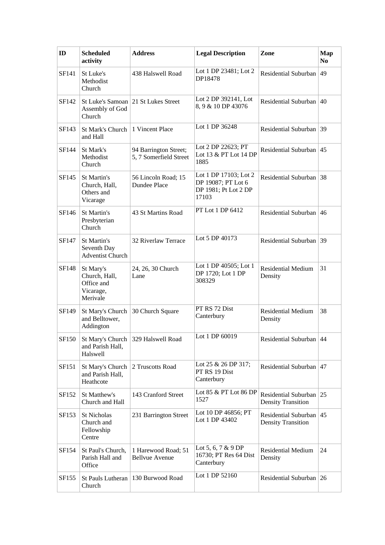| ID    | <b>Scheduled</b><br>activity                                       | <b>Address</b>                                  | <b>Legal Description</b>                                                     | Zone                                                 | Map<br>N <sub>0</sub> |
|-------|--------------------------------------------------------------------|-------------------------------------------------|------------------------------------------------------------------------------|------------------------------------------------------|-----------------------|
| SF141 | St Luke's<br>Methodist<br>Church                                   | 438 Halswell Road                               | Lot 1 DP 23481; Lot 2<br>DP18478                                             | Residential Suburban                                 | 49                    |
| SF142 | Assembly of God<br>Church                                          | St Luke's Samoan 21 St Lukes Street             | Lot 2 DP 392141, Lot<br>8, 9 & 10 DP 43076                                   | Residential Suburban                                 | $40^{\circ}$          |
| SF143 | St Mark's Church<br>and Hall                                       | 1 Vincent Place                                 | Lot 1 DP 36248                                                               | Residential Suburban 39                              |                       |
| SF144 | St Mark's<br>Methodist<br>Church                                   | 94 Barrington Street;<br>5, 7 Somerfield Street | Lot 2 DP 22623; PT<br>Lot 13 & PT Lot 14 DP<br>1885                          | Residential Suburban                                 | 45                    |
| SF145 | St Martin's<br>Church, Hall,<br>Others and<br>Vicarage             | 56 Lincoln Road; 15<br>Dundee Place             | Lot 1 DP 17103; Lot 2<br>DP 19087; PT Lot 6<br>DP 1981; Pt Lot 2 DP<br>17103 | Residential Suburban 38                              |                       |
| SF146 | St Martin's<br>Presbyterian<br>Church                              | 43 St Martins Road                              | PT Lot 1 DP 6412                                                             | Residential Suburban $ 46$                           |                       |
| SF147 | St Martin's<br>Seventh Day<br><b>Adventist Church</b>              | 32 Riverlaw Terrace                             | Lot 5 DP 40173                                                               | Residential Suburban 39                              |                       |
| SF148 | St Mary's<br>Church, Hall,<br>Office and<br>Vicarage,<br>Merivale  | 24, 26, 30 Church<br>Lane                       | Lot 1 DP 40505; Lot 1<br>DP 1720; Lot 1 DP<br>308329                         | <b>Residential Medium</b><br>Density                 | 31                    |
| SF149 | St Mary's Church<br>and Belltower,<br>Addington                    | 30 Church Square                                | PT RS 72 Dist<br>Canterbury                                                  | <b>Residential Medium</b><br>Density                 | 38                    |
| SF150 | and Parish Hall,<br>Halswell                                       | St Mary's Church 329 Halswell Road              | Lot 1 DP 60019                                                               | Residential Suburban $ 44$                           |                       |
| SF151 | St Mary's Church 2 Truscotts Road<br>and Parish Hall,<br>Heathcote |                                                 | Lot 25 & 26 DP 317;<br>PT RS 19 Dist<br>Canterbury                           | Residential Suburban $ 47 $                          |                       |
| SF152 | St Matthew's<br>Church and Hall                                    | 143 Cranford Street                             | Lot 85 & PT Lot 86 DP<br>1527                                                | Residential Suburban 25<br><b>Density Transition</b> |                       |
| SF153 | <b>St Nicholas</b><br>Church and<br>Fellowship<br>Centre           | 231 Barrington Street                           | Lot 10 DP 46856; PT<br>Lot 1 DP 43402                                        | Residential Suburban<br><b>Density Transition</b>    | 45                    |
| SF154 | St Paul's Church,<br>Parish Hall and<br>Office                     | 1 Harewood Road; 51<br><b>Bellvue Avenue</b>    | Lot 5, 6, 7 & 9 DP<br>16730; PT Res 64 Dist<br>Canterbury                    | <b>Residential Medium</b><br>Density                 | 24                    |
| SF155 | St Pauls Lutheran<br>Church                                        | 130 Burwood Road                                | Lot 1 DP 52160                                                               | Residential Suburban 26                              |                       |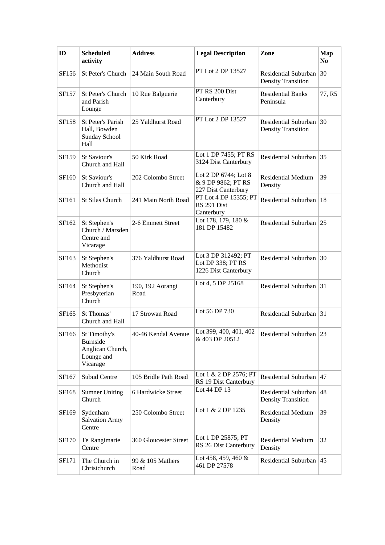| ID    | <b>Scheduled</b><br>activity                                                  | <b>Address</b>           | <b>Legal Description</b>                                          | Zone                                                 | <b>Map</b><br>N <sub>0</sub> |
|-------|-------------------------------------------------------------------------------|--------------------------|-------------------------------------------------------------------|------------------------------------------------------|------------------------------|
| SF156 | St Peter's Church                                                             | 24 Main South Road       | PT Lot 2 DP 13527                                                 | Residential Suburban<br><b>Density Transition</b>    | 30                           |
| SF157 | St Peter's Church<br>and Parish<br>Lounge                                     | 10 Rue Balguerie         | PT RS 200 Dist<br>Canterbury                                      | <b>Residential Banks</b><br>Peninsula                | 77, R5                       |
| SF158 | <b>St Peter's Parish</b><br>Hall, Bowden<br>Sunday School<br>Hall             | 25 Yaldhurst Road        | PT Lot 2 DP 13527                                                 | Residential Suburban 30<br><b>Density Transition</b> |                              |
| SF159 | St Saviour's<br>Church and Hall                                               | 50 Kirk Road             | Lot 1 DP 7455; PT RS<br>3124 Dist Canterbury                      | Residential Suburban 35                              |                              |
| SF160 | St Saviour's<br>Church and Hall                                               | 202 Colombo Street       | Lot 2 DP 6744; Lot 8<br>& 9 DP 9862; PT RS<br>227 Dist Canterbury | <b>Residential Medium</b><br>Density                 | 39                           |
| SF161 | St Silas Church                                                               | 241 Main North Road      | PT Lot 4 DP 15355; PT<br>RS 291 Dist<br>Canterbury                | Residential Suburban   18                            |                              |
| SF162 | St Stephen's<br>Church / Marsden<br>Centre and<br>Vicarage                    | 2-6 Emmett Street        | Lot 178, 179, 180 &<br>181 DP 15482                               | Residential Suburban 25                              |                              |
| SF163 | St Stephen's<br>Methodist<br>Church                                           | 376 Yaldhurst Road       | Lot 3 DP 312492; PT<br>Lot DP 338; PT RS<br>1226 Dist Canterbury  | Residential Suburban 30                              |                              |
| SF164 | St Stephen's<br>Presbyterian<br>Church                                        | 190, 192 Aorangi<br>Road | Lot 4, 5 DP 25168                                                 | Residential Suburban 31                              |                              |
| SF165 | St Thomas'<br>Church and Hall                                                 | 17 Strowan Road          | Lot 56 DP 730                                                     | Residential Suburban 31                              |                              |
| SF166 | St Timothy's<br><b>Burnside</b><br>Anglican Church,<br>Lounge and<br>Vicarage | 40-46 Kendal Avenue      | Lot 399, 400, 401, 402<br>& 403 DP 20512                          | Residential Suburban 23                              |                              |
| SF167 | <b>Subud Centre</b>                                                           | 105 Bridle Path Road     | Lot 1 & 2 DP 2576; PT<br>RS 19 Dist Canterbury                    | Residential Suburban $ 47 $                          |                              |
| SF168 | <b>Sumner Uniting</b><br>Church                                               | 6 Hardwicke Street       | Lot 44 DP 13                                                      | Residential Suburban<br><b>Density Transition</b>    | 48                           |
| SF169 | Sydenham<br><b>Salvation Army</b><br>Centre                                   | 250 Colombo Street       | Lot 1 & 2 DP 1235                                                 | <b>Residential Medium</b><br>Density                 | 39                           |
| SF170 | Te Rangimarie<br>Centre                                                       | 360 Gloucester Street    | Lot 1 DP 25875; PT<br>RS 26 Dist Canterbury                       | <b>Residential Medium</b><br>Density                 | 32                           |
| SF171 | The Church in<br>Christchurch                                                 | 99 & 105 Mathers<br>Road | Lot 458, 459, 460 $\&$<br>461 DP 27578                            | Residential Suburban                                 | 45                           |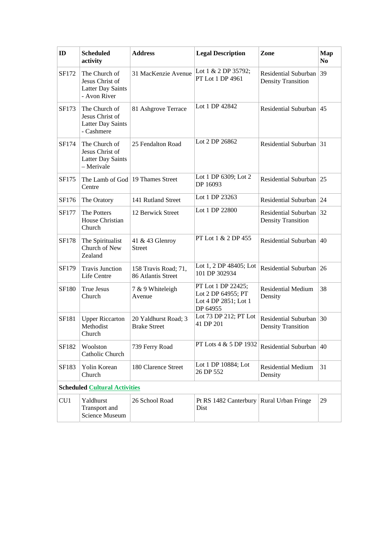| ID           | <b>Scheduled</b><br>activity                                                 | <b>Address</b>                              | <b>Legal Description</b>                                                     | Zone                                              | <b>Map</b><br>N <sub>0</sub> |
|--------------|------------------------------------------------------------------------------|---------------------------------------------|------------------------------------------------------------------------------|---------------------------------------------------|------------------------------|
| SF172        | The Church of<br>Jesus Christ of<br><b>Latter Day Saints</b><br>- Avon River | 31 MacKenzie Avenue                         | Lot 1 & 2 DP 35792;<br>PT Lot 1 DP 4961                                      | Residential Suburban<br><b>Density Transition</b> | 39                           |
| SF173        | The Church of<br>Jesus Christ of<br><b>Latter Day Saints</b><br>- Cashmere   | 81 Ashgrove Terrace                         | Lot 1 DP 42842                                                               | Residential Suburban                              | 45                           |
| SF174        | The Church of<br>Jesus Christ of<br><b>Latter Day Saints</b><br>- Merivale   | 25 Fendalton Road                           | Lot 2 DP 26862                                                               | Residential Suburban 31                           |                              |
| SF175        | Centre                                                                       | The Lamb of God   19 Thames Street          | Lot 1 DP 6309; Lot 2<br>DP 16093                                             | Residential Suburban                              | 25                           |
| SF176        | The Oratory                                                                  | 141 Rutland Street                          | Lot 1 DP 23263                                                               | Residential Suburban                              | 24                           |
| SF177        | The Potters<br>House Christian<br>Church                                     | 12 Berwick Street                           | Lot 1 DP 22800                                                               | Residential Suburban<br><b>Density Transition</b> | 32                           |
| <b>SF178</b> | The Spiritualist<br>Church of New<br>Zealand                                 | 41 & 43 Glenroy<br><b>Street</b>            | PT Lot 1 & 2 DP 455                                                          | <b>Residential Suburban</b>                       | 40                           |
| SF179        | <b>Travis Junction</b><br>Life Centre                                        | 158 Travis Road; 71,<br>86 Atlantis Street  | Lot 1, 2 DP 48405; Lot<br>101 DP 302934                                      | Residential Suburban 26                           |                              |
| <b>SF180</b> | <b>True Jesus</b><br>Church                                                  | 7 & 9 Whiteleigh<br>Avenue                  | PT Lot 1 DP 22425;<br>Lot 2 DP 64955; PT<br>Lot 4 DP 2851; Lot 1<br>DP 64955 | <b>Residential Medium</b><br>Density              | 38                           |
| SF181        | <b>Upper Riccarton</b><br>Methodist<br>Church                                | 20 Yaldhurst Road; 3<br><b>Brake Street</b> | Lot 73 DP 212; PT Lot<br>41 DP 201                                           | Residential Suburban<br><b>Density Transition</b> | 30                           |
| SF182        | Woolston<br>Catholic Church                                                  | 739 Ferry Road                              | PT Lots 4 & 5 DP 1932                                                        | Residential Suburban                              | 40                           |
| SF183        | Yolin Korean<br>Church                                                       | 180 Clarence Street                         | Lot 1 DP 10884; Lot<br>26 DP 552                                             | <b>Residential Medium</b><br>Density              | 31                           |
|              | <b>Scheduled Cultural Activities</b>                                         |                                             |                                                                              |                                                   |                              |
| CU1          | Yaldhurst<br>Transport and<br><b>Science Museum</b>                          | 26 School Road                              | Pt RS 1482 Canterbury<br>Dist                                                | Rural Urban Fringe                                | 29                           |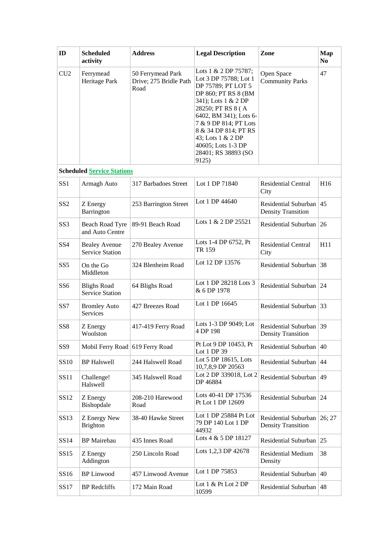| ID              | <b>Scheduled</b><br>activity                   | <b>Address</b>                                      | <b>Legal Description</b>                                                                                                                                                                                                                                                                     | Zone                                                 | Map<br>N <sub>0</sub> |
|-----------------|------------------------------------------------|-----------------------------------------------------|----------------------------------------------------------------------------------------------------------------------------------------------------------------------------------------------------------------------------------------------------------------------------------------------|------------------------------------------------------|-----------------------|
| CU <sub>2</sub> | Ferrymead<br>Heritage Park                     | 50 Ferrymead Park<br>Drive; 275 Bridle Path<br>Road | Lots 1 & 2 DP 75787;<br>Lot 3 DP 75788; Lot 1<br>DP 75789; PT LOT 5<br>DP 860; PT RS 8 (BM<br>341); Lots 1 & 2 DP<br>28250; PT RS 8 (A<br>6402, BM 341); Lots 6-<br>7 & 9 DP 814; PT Lots<br>8 & 34 DP 814; PT RS<br>43; Lots 1 & 2 DP<br>40605; Lots 1-3 DP<br>28401; RS 38893 (SO<br>9125) | Open Space<br><b>Community Parks</b>                 | 47                    |
|                 | <b>Scheduled Service Stations</b>              |                                                     |                                                                                                                                                                                                                                                                                              |                                                      |                       |
| SS <sub>1</sub> | Armagh Auto                                    | 317 Barbadoes Street                                | Lot 1 DP 71840                                                                                                                                                                                                                                                                               | <b>Residential Central</b><br>City                   | H16                   |
| SS <sub>2</sub> | Z Energy<br>Barrington                         | 253 Barrington Street                               | Lot 1 DP 44640                                                                                                                                                                                                                                                                               | Residential Suburban<br><b>Density Transition</b>    | 45                    |
| SS <sub>3</sub> | <b>Beach Road Tyre</b><br>and Auto Centre      | 89-91 Beach Road                                    | Lots 1 & 2 DP 25521                                                                                                                                                                                                                                                                          | Residential Suburban                                 | 26                    |
| SS <sub>4</sub> | <b>Bealey Avenue</b><br><b>Service Station</b> | 270 Bealey Avenue                                   | Lots 1-4 DP 6752, Pt<br>TR 159                                                                                                                                                                                                                                                               | <b>Residential Central</b><br>City                   | H11                   |
| SS <sub>5</sub> | On the Go<br>Middleton                         | 324 Blenheim Road                                   | Lot 12 DP 13576                                                                                                                                                                                                                                                                              | Residential Suburban                                 | 38                    |
| SS <sub>6</sub> | <b>Blighs Road</b><br><b>Service Station</b>   | 64 Blighs Road                                      | Lot 1 DP 28218 Lots 3<br>& 6 DP 1978                                                                                                                                                                                                                                                         | Residential Suburban                                 | 24                    |
| SS7             | <b>Bromley Auto</b><br>Services                | 427 Breezes Road                                    | Lot 1 DP 16645                                                                                                                                                                                                                                                                               | Residential Suburban                                 | 33                    |
| SS <sub>8</sub> | Z Energy<br>Woolston                           | 417-419 Ferry Road                                  | Lots 1-3 DP 9049; Lot<br>4 DP 198                                                                                                                                                                                                                                                            | Residential Suburban 39<br><b>Density Transition</b> |                       |
| SS <sub>9</sub> | Mobil Ferry Road 619 Ferry Road                |                                                     | Pt Lot 9 DP 10453, Pt<br>Lot 1 DP 39                                                                                                                                                                                                                                                         | Residential Suburban                                 | 40                    |
| <b>SS10</b>     | <b>BP</b> Halswell                             | 244 Halswell Road                                   | Lot 5 DP 18615, Lots<br>10,7,8,9 DP 20563                                                                                                                                                                                                                                                    | Residential Suburban                                 | 44                    |
| SS11            | Challenge!<br>Halswell                         | 345 Halswell Road                                   | Lot 2 DP 339018, Lot 2<br>DP 46884                                                                                                                                                                                                                                                           | Residential Suburban                                 | 49                    |
| SS12            | Z Energy<br>Bishopdale                         | 208-210 Harewood<br>Road                            | Lots 40-41 DP 17536<br>Pt Lot 1 DP 12609                                                                                                                                                                                                                                                     | Residential Suburban 24                              |                       |
| SS13            | Z Energy New<br><b>Brighton</b>                | 38-40 Hawke Street                                  | Lot 1 DP 25884 Pt Lot<br>79 DP 140 Lot 1 DP<br>44932                                                                                                                                                                                                                                         | Residential Suburban<br><b>Density Transition</b>    | 26; 27                |
| SS14            | <b>BP</b> Mairehau                             | 435 Innes Road                                      | Lots 4 & 5 DP 18127                                                                                                                                                                                                                                                                          | Residential Suburban                                 | 25                    |
| SS15            | Z Energy<br>Addington                          | 250 Lincoln Road                                    | Lots 1,2,3 DP 42678                                                                                                                                                                                                                                                                          | <b>Residential Medium</b><br>Density                 | 38                    |
| SS16            | <b>BP</b> Linwood                              | 457 Linwood Avenue                                  | Lot 1 DP 75853                                                                                                                                                                                                                                                                               | Residential Suburban                                 | 40                    |
| SS17            | <b>BP</b> Redcliffs                            | 172 Main Road                                       | Lot $1 \& Pt$ Lot $2 DP$<br>10599                                                                                                                                                                                                                                                            | Residential Suburban                                 | 48                    |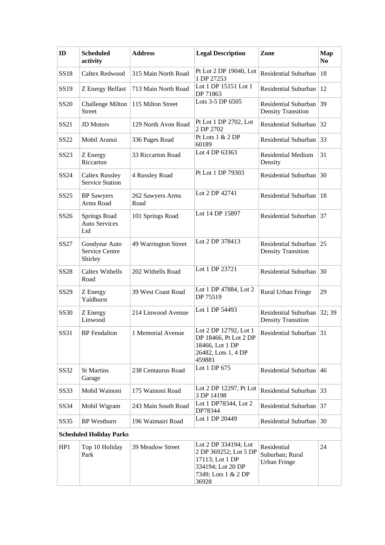| ID               | <b>Scheduled</b><br>activity                    | <b>Address</b>           | <b>Legal Description</b>                                                                                              | Zone                                                  | <b>Map</b><br>N <sub>0</sub> |
|------------------|-------------------------------------------------|--------------------------|-----------------------------------------------------------------------------------------------------------------------|-------------------------------------------------------|------------------------------|
| <b>SS18</b>      | Caltex Redwood                                  | 315 Main North Road      | Pt Lot 2 DP 19040, Lot<br>1 DP 27253                                                                                  | Residential Suburban                                  | $\vert$ 18                   |
| SS19             | Z Energy Belfast                                | 713 Main North Road      | Lot 1 DP 15151 Lot 1<br>DP 71863                                                                                      | Residential Suburban                                  | <sup>12</sup>                |
| SS <sub>20</sub> | <b>Challenge Milton</b><br><b>Street</b>        | 115 Milton Street        | Lots 3-5 DP 6505                                                                                                      | Residential Suburban<br><b>Density Transition</b>     | $ 39\rangle$                 |
| SS21             | <b>JD</b> Motors                                | 129 North Avon Road      | Pt Lot 1 DP 2702, Lot<br>2 DP 2702                                                                                    | Residential Suburban                                  | 32                           |
| SS22             | Mobil Aranui                                    | 336 Pages Road           | Pt Lots 1 & 2 DP<br>60189                                                                                             | Residential Suburban                                  | 33                           |
| SS23             | Z Energy<br>Riccarton                           | 33 Riccarton Road        | Lot 4 DP 63363                                                                                                        | <b>Residential Medium</b><br>Density                  | 31                           |
| SS24             | <b>Caltex Russley</b><br><b>Service Station</b> | 4 Russley Road           | Pt Lot 1 DP 79303                                                                                                     | Residential Suburban                                  | $\vert$ 30                   |
| SS25             | <b>BP</b> Sawyers<br>Arms Road                  | 262 Sawyers Arms<br>Road | Lot 2 DP 42741                                                                                                        | Residential Suburban                                  | 18                           |
| SS26             | Springs Road<br><b>Auto Services</b><br>Ltd     | 101 Springs Road         | Lot 14 DP 15897                                                                                                       | Residential Suburban 37                               |                              |
| SS27             | Goodyear Auto<br>Service Centre<br>Shirley      | 49 Warrington Street     | Lot 2 DP 378413                                                                                                       | Residential Suburban 25<br><b>Density Transition</b>  |                              |
| <b>SS28</b>      | <b>Caltex Withells</b><br>Road                  | 202 Withells Road        | Lot 1 DP 23721                                                                                                        | Residential Suburban                                  | 30                           |
| SS29             | Z Energy<br>Yaldhurst                           | 39 West Coast Road       | Lot 1 DP 47884, Lot 2<br>DP 75519                                                                                     | Rural Urban Fringe                                    | 29                           |
| SS30             | Z Energy<br>Linwood                             | 214 Linwood Avenue       | Lot 1 DP 54493                                                                                                        | Residential Suburban<br><b>Density Transition</b>     | 32; 39                       |
| SS31             | <b>BP</b> Fendalton                             | 1 Memorial Avenue        | Lot 2 DP 12792, Lot 1<br>DP 18466, Pt Lot 2 DP<br>18466, Lot 1 DP<br>26482, Lots 1, 4 DP<br>459881                    | Residential Suburban                                  | $\vert 31 \vert$             |
| SS32             | <b>St Martins</b><br>Garage                     | 238 Centaurus Road       | Lot 1 DP 675                                                                                                          | Residential Suburban 46                               |                              |
| <b>SS33</b>      | Mobil Wainoni                                   | 175 Wainoni Road         | Lot 2 DP 12297, Pt Lot<br>3 DP 14198                                                                                  | Residential Suburban 33                               |                              |
| SS34             | Mobil Wigram                                    | 243 Main South Road      | Lot 1 DP78344, Lot 2<br>DP78344                                                                                       | Residential Suburban 37                               |                              |
| SS35             | <b>BP</b> Westburn                              | 196 Waimairi Road        | Lot 1 DP 20449                                                                                                        | Residential Suburban 30                               |                              |
|                  | <b>Scheduled Holiday Parks</b>                  |                          |                                                                                                                       |                                                       |                              |
| HP1              | Top 10 Holiday<br>Park                          | 39 Meadow Street         | Lot 2 DP 334194; Lot<br>2 DP 369252; Lot 5 DP<br>17113; Lot 1 DP<br>334194; Lot 20 DP<br>7349; Lots 1 & 2 DP<br>36928 | Residential<br>Suburban; Rural<br><b>Urban Fringe</b> | 24                           |